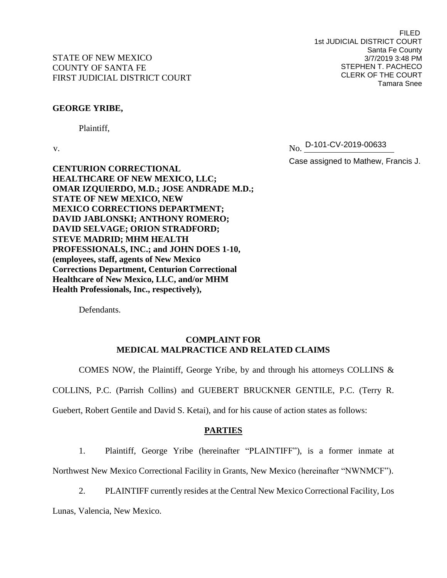Plaintiff,

FILED 1st JUDICIAL DISTRICT COURT Santa Fe County 3/7/2019 3:48 PM STEPHEN T. PACHECO CLERK OF THE COURT Tamara Snee

v. No. No. D-101-CV-2019-00633

Case assigned to Mathew, Francis J.

**CENTURION CORRECTIONAL HEALTHCARE OF NEW MEXICO, LLC; OMAR IZQUIERDO, M.D.; JOSE ANDRADE M.D.; STATE OF NEW MEXICO, NEW MEXICO CORRECTIONS DEPARTMENT; DAVID JABLONSKI; ANTHONY ROMERO; DAVID SELVAGE; ORION STRADFORD; STEVE MADRID; MHM HEALTH PROFESSIONALS, INC.; and JOHN DOES 1-10, (employees, staff, agents of New Mexico Corrections Department, Centurion Correctional Healthcare of New Mexico, LLC, and/or MHM Health Professionals, Inc., respectively),**

Defendants.

# **COMPLAINT FOR MEDICAL MALPRACTICE AND RELATED CLAIMS**

COMES NOW, the Plaintiff, George Yribe, by and through his attorneys COLLINS &

COLLINS, P.C. (Parrish Collins) and GUEBERT BRUCKNER GENTILE, P.C. (Terry R.

Guebert, Robert Gentile and David S. Ketai), and for his cause of action states as follows:

### **PARTIES**

1. Plaintiff, George Yribe (hereinafter "PLAINTIFF"), is a former inmate at

Northwest New Mexico Correctional Facility in Grants, New Mexico (hereinafter "NWNMCF").

2. PLAINTIFF currently resides at the Central New Mexico Correctional Facility, Los

Lunas, Valencia, New Mexico.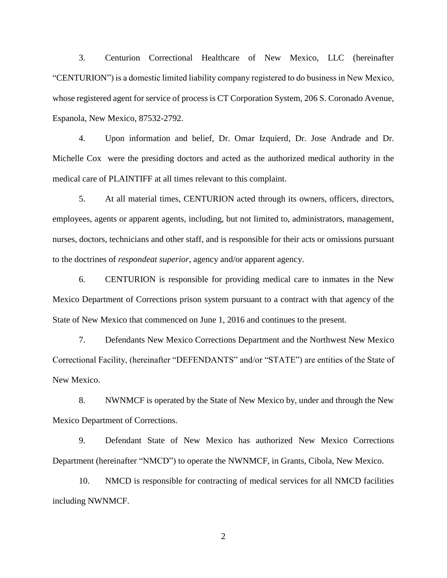3. Centurion Correctional Healthcare of New Mexico, LLC (hereinafter "CENTURION") is a domestic limited liability company registered to do business in New Mexico, whose registered agent for service of process is CT Corporation System, 206 S. Coronado Avenue, Espanola, New Mexico, 87532-2792.

4. Upon information and belief, Dr. Omar Izquierd, Dr. Jose Andrade and Dr. Michelle Cox were the presiding doctors and acted as the authorized medical authority in the medical care of PLAINTIFF at all times relevant to this complaint.

5. At all material times, CENTURION acted through its owners, officers, directors, employees, agents or apparent agents, including, but not limited to, administrators, management, nurses, doctors, technicians and other staff, and is responsible for their acts or omissions pursuant to the doctrines of *respondeat superior*, agency and/or apparent agency.

6. CENTURION is responsible for providing medical care to inmates in the New Mexico Department of Corrections prison system pursuant to a contract with that agency of the State of New Mexico that commenced on June 1, 2016 and continues to the present.

7. Defendants New Mexico Corrections Department and the Northwest New Mexico Correctional Facility, (hereinafter "DEFENDANTS" and/or "STATE") are entities of the State of New Mexico.

8. NWNMCF is operated by the State of New Mexico by, under and through the New Mexico Department of Corrections.

9. Defendant State of New Mexico has authorized New Mexico Corrections Department (hereinafter "NMCD") to operate the NWNMCF, in Grants, Cibola, New Mexico.

10. NMCD is responsible for contracting of medical services for all NMCD facilities including NWNMCF.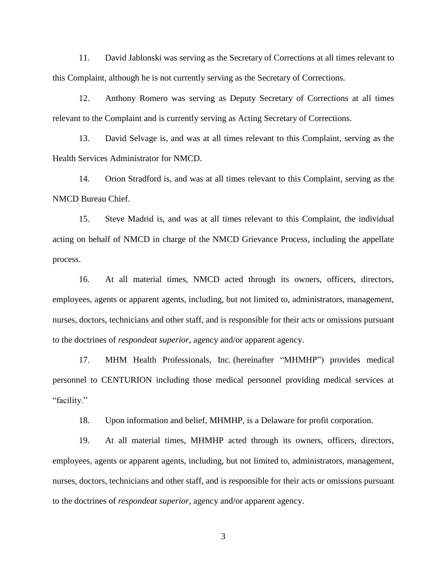11. David Jablonski was serving as the Secretary of Corrections at all times relevant to this Complaint, although he is not currently serving as the Secretary of Corrections.

12. Anthony Romero was serving as Deputy Secretary of Corrections at all times relevant to the Complaint and is currently serving as Acting Secretary of Corrections.

13. David Selvage is, and was at all times relevant to this Complaint, serving as the Health Services Administrator for NMCD.

14. Orion Stradford is, and was at all times relevant to this Complaint, serving as the NMCD Bureau Chief.

15. Steve Madrid is, and was at all times relevant to this Complaint, the individual acting on behalf of NMCD in charge of the NMCD Grievance Process, including the appellate process.

16. At all material times, NMCD acted through its owners, officers, directors, employees, agents or apparent agents, including, but not limited to, administrators, management, nurses, doctors, technicians and other staff, and is responsible for their acts or omissions pursuant to the doctrines of *respondeat superior*, agency and/or apparent agency.

17. MHM Health Professionals, Inc. (hereinafter "MHMHP") provides medical personnel to CENTURION including those medical personnel providing medical services at "facility."

18. Upon information and belief, MHMHP, is a Delaware for profit corporation.

19. At all material times, MHMHP acted through its owners, officers, directors, employees, agents or apparent agents, including, but not limited to, administrators, management, nurses, doctors, technicians and other staff, and is responsible for their acts or omissions pursuant to the doctrines of *respondeat superior*, agency and/or apparent agency.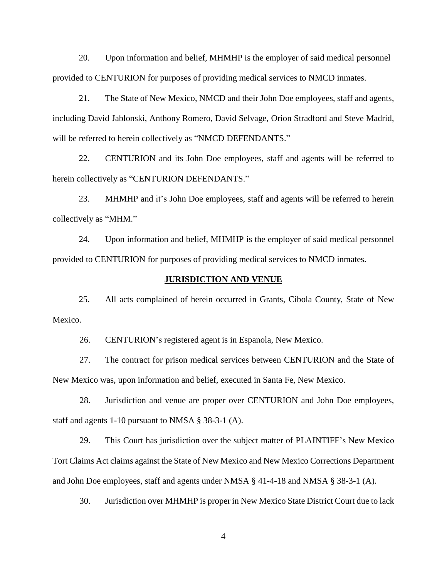20. Upon information and belief, MHMHP is the employer of said medical personnel provided to CENTURION for purposes of providing medical services to NMCD inmates.

21. The State of New Mexico, NMCD and their John Doe employees, staff and agents, including David Jablonski, Anthony Romero, David Selvage, Orion Stradford and Steve Madrid, will be referred to herein collectively as "NMCD DEFENDANTS."

22. CENTURION and its John Doe employees, staff and agents will be referred to herein collectively as "CENTURION DEFENDANTS."

23. MHMHP and it's John Doe employees, staff and agents will be referred to herein collectively as "MHM."

24. Upon information and belief, MHMHP is the employer of said medical personnel provided to CENTURION for purposes of providing medical services to NMCD inmates.

#### **JURISDICTION AND VENUE**

25. All acts complained of herein occurred in Grants, Cibola County, State of New Mexico.

26. CENTURION's registered agent is in Espanola, New Mexico.

27. The contract for prison medical services between CENTURION and the State of New Mexico was, upon information and belief, executed in Santa Fe, New Mexico.

28. Jurisdiction and venue are proper over CENTURION and John Doe employees, staff and agents 1-10 pursuant to NMSA § 38-3-1 (A).

29. This Court has jurisdiction over the subject matter of PLAINTIFF's New Mexico Tort Claims Act claims against the State of New Mexico and New Mexico Corrections Department and John Doe employees, staff and agents under NMSA § 41-4-18 and NMSA § 38-3-1 (A).

30. Jurisdiction over MHMHP is proper in New Mexico State District Court due to lack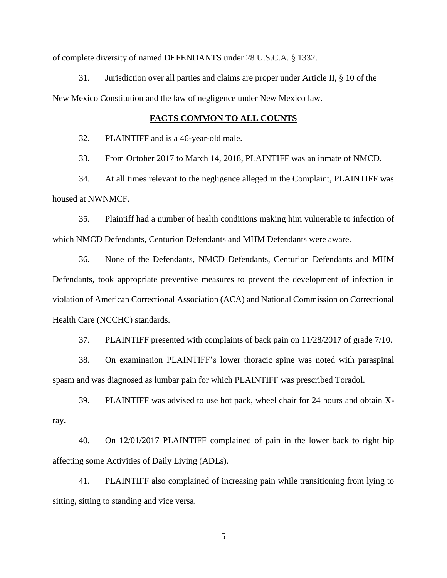of complete diversity of named DEFENDANTS under 28 U.S.C.A. § 1332.

31. Jurisdiction over all parties and claims are proper under Article II, § 10 of the New Mexico Constitution and the law of negligence under New Mexico law.

#### **FACTS COMMON TO ALL COUNTS**

32. PLAINTIFF and is a 46-year-old male.

33. From October 2017 to March 14, 2018, PLAINTIFF was an inmate of NMCD.

34. At all times relevant to the negligence alleged in the Complaint, PLAINTIFF was housed at NWNMCF.

35. Plaintiff had a number of health conditions making him vulnerable to infection of which NMCD Defendants, Centurion Defendants and MHM Defendants were aware.

36. None of the Defendants, NMCD Defendants, Centurion Defendants and MHM Defendants, took appropriate preventive measures to prevent the development of infection in violation of American Correctional Association (ACA) and National Commission on Correctional Health Care (NCCHC) standards.

37. PLAINTIFF presented with complaints of back pain on 11/28/2017 of grade 7/10.

38. On examination PLAINTIFF's lower thoracic spine was noted with paraspinal spasm and was diagnosed as lumbar pain for which PLAINTIFF was prescribed Toradol.

39. PLAINTIFF was advised to use hot pack, wheel chair for 24 hours and obtain Xray.

40. On 12/01/2017 PLAINTIFF complained of pain in the lower back to right hip affecting some Activities of Daily Living (ADLs).

41. PLAINTIFF also complained of increasing pain while transitioning from lying to sitting, sitting to standing and vice versa.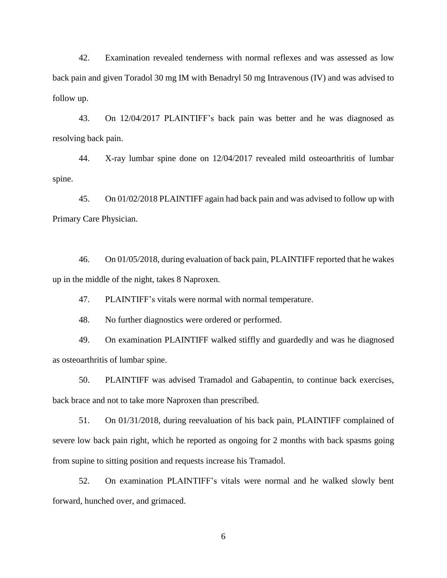42. Examination revealed tenderness with normal reflexes and was assessed as low back pain and given Toradol 30 mg IM with Benadryl 50 mg Intravenous (IV) and was advised to follow up.

43. On 12/04/2017 PLAINTIFF's back pain was better and he was diagnosed as resolving back pain.

44. X-ray lumbar spine done on 12/04/2017 revealed mild osteoarthritis of lumbar spine.

45. On 01/02/2018 PLAINTIFF again had back pain and was advised to follow up with Primary Care Physician.

46. On 01/05/2018, during evaluation of back pain, PLAINTIFF reported that he wakes up in the middle of the night, takes 8 Naproxen.

47. PLAINTIFF's vitals were normal with normal temperature.

48. No further diagnostics were ordered or performed.

49. On examination PLAINTIFF walked stiffly and guardedly and was he diagnosed as osteoarthritis of lumbar spine.

50. PLAINTIFF was advised Tramadol and Gabapentin, to continue back exercises, back brace and not to take more Naproxen than prescribed.

51. On 01/31/2018, during reevaluation of his back pain, PLAINTIFF complained of severe low back pain right, which he reported as ongoing for 2 months with back spasms going from supine to sitting position and requests increase his Tramadol.

52. On examination PLAINTIFF's vitals were normal and he walked slowly bent forward, hunched over, and grimaced.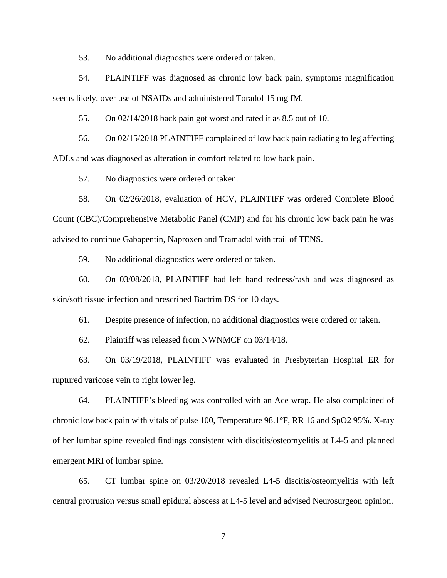53. No additional diagnostics were ordered or taken.

54. PLAINTIFF was diagnosed as chronic low back pain, symptoms magnification seems likely, over use of NSAIDs and administered Toradol 15 mg IM.

55. On 02/14/2018 back pain got worst and rated it as 8.5 out of 10.

56. On 02/15/2018 PLAINTIFF complained of low back pain radiating to leg affecting ADLs and was diagnosed as alteration in comfort related to low back pain.

57. No diagnostics were ordered or taken.

58. On 02/26/2018, evaluation of HCV, PLAINTIFF was ordered Complete Blood Count (CBC)/Comprehensive Metabolic Panel (CMP) and for his chronic low back pain he was advised to continue Gabapentin, Naproxen and Tramadol with trail of TENS.

59. No additional diagnostics were ordered or taken.

60. On 03/08/2018, PLAINTIFF had left hand redness/rash and was diagnosed as skin/soft tissue infection and prescribed Bactrim DS for 10 days.

61. Despite presence of infection, no additional diagnostics were ordered or taken.

62. Plaintiff was released from NWNMCF on 03/14/18.

63. On 03/19/2018, PLAINTIFF was evaluated in Presbyterian Hospital ER for ruptured varicose vein to right lower leg.

64. PLAINTIFF's bleeding was controlled with an Ace wrap. He also complained of chronic low back pain with vitals of pulse 100, Temperature 98.1°F, RR 16 and SpO2 95%. X-ray of her lumbar spine revealed findings consistent with discitis/osteomyelitis at L4-5 and planned emergent MRI of lumbar spine.

65. CT lumbar spine on 03/20/2018 revealed L4-5 discitis/osteomyelitis with left central protrusion versus small epidural abscess at L4-5 level and advised Neurosurgeon opinion.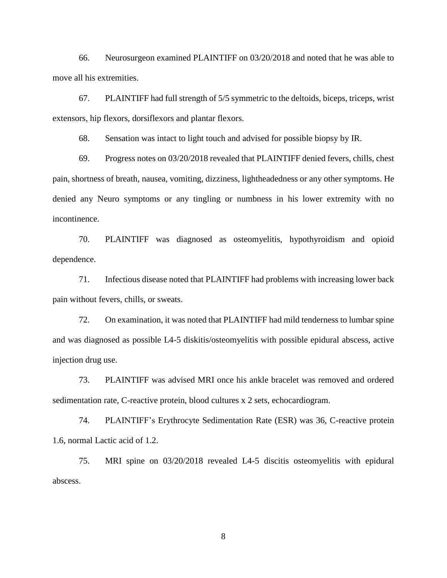66. Neurosurgeon examined PLAINTIFF on 03/20/2018 and noted that he was able to move all his extremities.

67. PLAINTIFF had full strength of 5/5 symmetric to the deltoids, biceps, triceps, wrist extensors, hip flexors, dorsiflexors and plantar flexors.

68. Sensation was intact to light touch and advised for possible biopsy by IR.

69. Progress notes on 03/20/2018 revealed that PLAINTIFF denied fevers, chills, chest pain, shortness of breath, nausea, vomiting, dizziness, lightheadedness or any other symptoms. He denied any Neuro symptoms or any tingling or numbness in his lower extremity with no incontinence.

70. PLAINTIFF was diagnosed as osteomyelitis, hypothyroidism and opioid dependence.

71. Infectious disease noted that PLAINTIFF had problems with increasing lower back pain without fevers, chills, or sweats.

72. On examination, it was noted that PLAINTIFF had mild tenderness to lumbar spine and was diagnosed as possible L4-5 diskitis/osteomyelitis with possible epidural abscess, active injection drug use.

73. PLAINTIFF was advised MRI once his ankle bracelet was removed and ordered sedimentation rate, C-reactive protein, blood cultures x 2 sets, echocardiogram.

74. PLAINTIFF's Erythrocyte Sedimentation Rate (ESR) was 36, C-reactive protein 1.6, normal Lactic acid of 1.2.

75. MRI spine on 03/20/2018 revealed L4-5 discitis osteomyelitis with epidural abscess.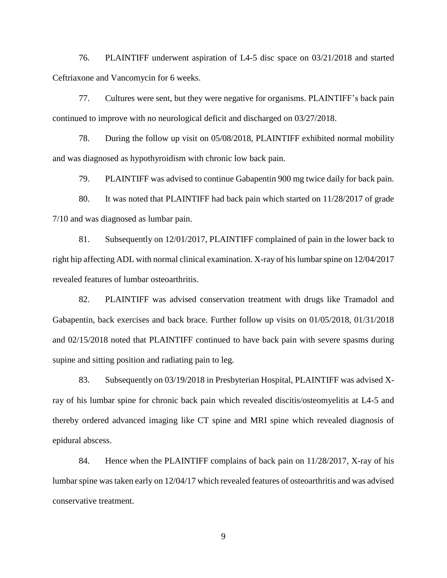76. PLAINTIFF underwent aspiration of L4-5 disc space on 03/21/2018 and started Ceftriaxone and Vancomycin for 6 weeks.

77. Cultures were sent, but they were negative for organisms. PLAINTIFF's back pain continued to improve with no neurological deficit and discharged on 03/27/2018.

78. During the follow up visit on 05/08/2018, PLAINTIFF exhibited normal mobility and was diagnosed as hypothyroidism with chronic low back pain.

79. PLAINTIFF was advised to continue Gabapentin 900 mg twice daily for back pain.

80. It was noted that PLAINTIFF had back pain which started on 11/28/2017 of grade 7/10 and was diagnosed as lumbar pain.

81. Subsequently on 12/01/2017, PLAINTIFF complained of pain in the lower back to right hip affecting ADL with normal clinical examination. X-ray of his lumbar spine on 12/04/2017 revealed features of lumbar osteoarthritis.

82. PLAINTIFF was advised conservation treatment with drugs like Tramadol and Gabapentin, back exercises and back brace. Further follow up visits on 01/05/2018, 01/31/2018 and 02/15/2018 noted that PLAINTIFF continued to have back pain with severe spasms during supine and sitting position and radiating pain to leg.

83. Subsequently on 03/19/2018 in Presbyterian Hospital, PLAINTIFF was advised Xray of his lumbar spine for chronic back pain which revealed discitis/osteomyelitis at L4-5 and thereby ordered advanced imaging like CT spine and MRI spine which revealed diagnosis of epidural abscess.

84. Hence when the PLAINTIFF complains of back pain on 11/28/2017, X-ray of his lumbar spine was taken early on 12/04/17 which revealed features of osteoarthritis and was advised conservative treatment.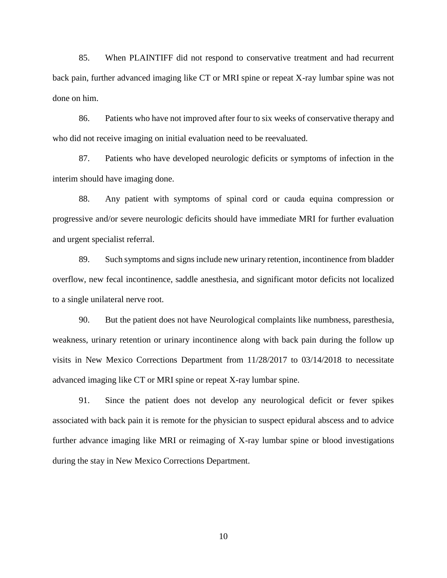85. When PLAINTIFF did not respond to conservative treatment and had recurrent back pain, further advanced imaging like CT or MRI spine or repeat X-ray lumbar spine was not done on him.

86. Patients who have not improved after four to six weeks of conservative therapy and who did not receive imaging on initial evaluation need to be reevaluated.

87. Patients who have developed neurologic deficits or symptoms of infection in the interim should have imaging done.

88. Any patient with symptoms of spinal cord or cauda equina compression or progressive and/or severe neurologic deficits should have immediate MRI for further evaluation and urgent specialist referral.

89. Such symptoms and signs include new urinary retention, incontinence from bladder overflow, new fecal incontinence, saddle anesthesia, and significant motor deficits not localized to a single unilateral nerve root.

90. But the patient does not have Neurological complaints like numbness, paresthesia, weakness, urinary retention or urinary incontinence along with back pain during the follow up visits in New Mexico Corrections Department from 11/28/2017 to 03/14/2018 to necessitate advanced imaging like CT or MRI spine or repeat X-ray lumbar spine.

91. Since the patient does not develop any neurological deficit or fever spikes associated with back pain it is remote for the physician to suspect epidural abscess and to advice further advance imaging like MRI or reimaging of X-ray lumbar spine or blood investigations during the stay in New Mexico Corrections Department.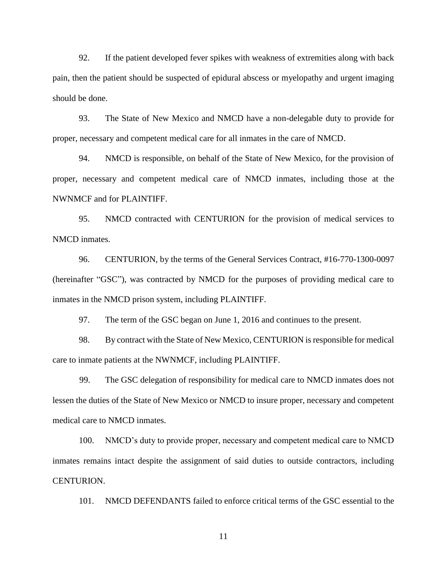92. If the patient developed fever spikes with weakness of extremities along with back pain, then the patient should be suspected of epidural abscess or myelopathy and urgent imaging should be done.

93. The State of New Mexico and NMCD have a non-delegable duty to provide for proper, necessary and competent medical care for all inmates in the care of NMCD.

94. NMCD is responsible, on behalf of the State of New Mexico, for the provision of proper, necessary and competent medical care of NMCD inmates, including those at the NWNMCF and for PLAINTIFF.

95. NMCD contracted with CENTURION for the provision of medical services to NMCD inmates.

96. CENTURION, by the terms of the General Services Contract, #16-770-1300-0097 (hereinafter "GSC"), was contracted by NMCD for the purposes of providing medical care to inmates in the NMCD prison system, including PLAINTIFF.

97. The term of the GSC began on June 1, 2016 and continues to the present.

98. By contract with the State of New Mexico, CENTURION is responsible for medical care to inmate patients at the NWNMCF, including PLAINTIFF.

99. The GSC delegation of responsibility for medical care to NMCD inmates does not lessen the duties of the State of New Mexico or NMCD to insure proper, necessary and competent medical care to NMCD inmates.

100. NMCD's duty to provide proper, necessary and competent medical care to NMCD inmates remains intact despite the assignment of said duties to outside contractors, including CENTURION.

101. NMCD DEFENDANTS failed to enforce critical terms of the GSC essential to the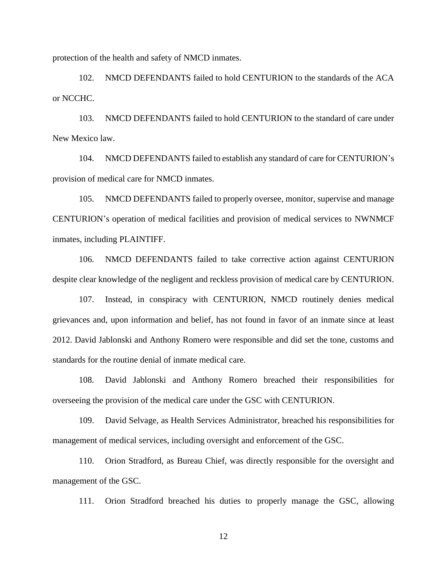protection of the health and safety of NMCD inmates.

102. NMCD DEFENDANTS failed to hold CENTURION to the standards of the ACA or NCCHC.

103. NMCD DEFENDANTS failed to hold CENTURION to the standard of care under New Mexico law.

104. NMCD DEFENDANTS failed to establish any standard of care for CENTURION's provision of medical care for NMCD inmates.

105. NMCD DEFENDANTS failed to properly oversee, monitor, supervise and manage CENTURION's operation of medical facilities and provision of medical services to NWNMCF inmates, including PLAINTIFF.

106. NMCD DEFENDANTS failed to take corrective action against CENTURION despite clear knowledge of the negligent and reckless provision of medical care by CENTURION.

107. Instead, in conspiracy with CENTURION, NMCD routinely denies medical grievances and, upon information and belief, has not found in favor of an inmate since at least 2012. David Jablonski and Anthony Romero were responsible and did set the tone, customs and standards for the routine denial of inmate medical care.

108. David Jablonski and Anthony Romero breached their responsibilities for overseeing the provision of the medical care under the GSC with CENTURION.

109. David Selvage, as Health Services Administrator, breached his responsibilities for management of medical services, including oversight and enforcement of the GSC.

110. Orion Stradford, as Bureau Chief, was directly responsible for the oversight and management of the GSC.

111. Orion Stradford breached his duties to properly manage the GSC, allowing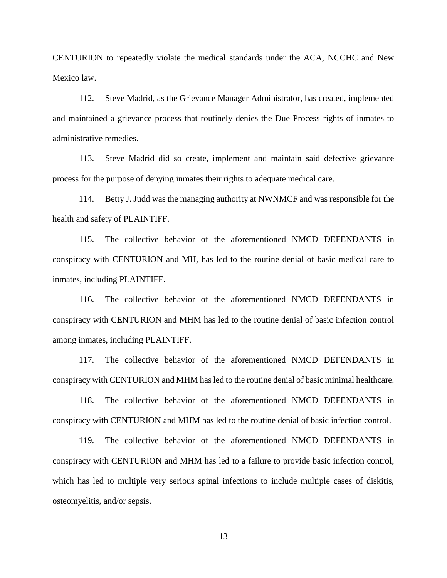CENTURION to repeatedly violate the medical standards under the ACA, NCCHC and New Mexico law.

112. Steve Madrid, as the Grievance Manager Administrator, has created, implemented and maintained a grievance process that routinely denies the Due Process rights of inmates to administrative remedies.

113. Steve Madrid did so create, implement and maintain said defective grievance process for the purpose of denying inmates their rights to adequate medical care.

114. Betty J. Judd was the managing authority at NWNMCF and was responsible for the health and safety of PLAINTIFF.

115. The collective behavior of the aforementioned NMCD DEFENDANTS in conspiracy with CENTURION and MH, has led to the routine denial of basic medical care to inmates, including PLAINTIFF.

116. The collective behavior of the aforementioned NMCD DEFENDANTS in conspiracy with CENTURION and MHM has led to the routine denial of basic infection control among inmates, including PLAINTIFF.

117. The collective behavior of the aforementioned NMCD DEFENDANTS in conspiracy with CENTURION and MHM has led to the routine denial of basic minimal healthcare.

118. The collective behavior of the aforementioned NMCD DEFENDANTS in conspiracy with CENTURION and MHM has led to the routine denial of basic infection control.

119. The collective behavior of the aforementioned NMCD DEFENDANTS in conspiracy with CENTURION and MHM has led to a failure to provide basic infection control, which has led to multiple very serious spinal infections to include multiple cases of diskitis, osteomyelitis, and/or sepsis.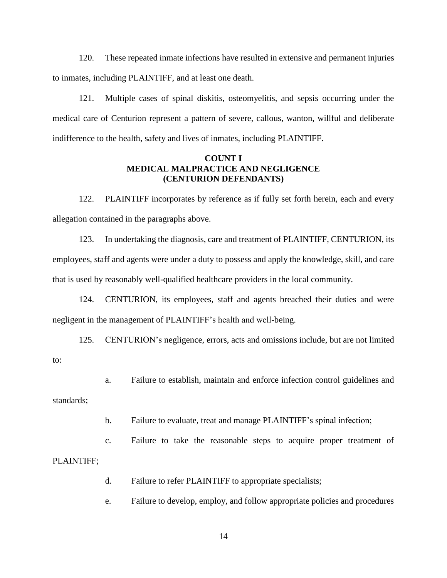120. These repeated inmate infections have resulted in extensive and permanent injuries to inmates, including PLAINTIFF, and at least one death.

121. Multiple cases of spinal diskitis, osteomyelitis, and sepsis occurring under the medical care of Centurion represent a pattern of severe, callous, wanton, willful and deliberate indifference to the health, safety and lives of inmates, including PLAINTIFF.

### **COUNT I MEDICAL MALPRACTICE AND NEGLIGENCE (CENTURION DEFENDANTS)**

122. PLAINTIFF incorporates by reference as if fully set forth herein, each and every allegation contained in the paragraphs above.

123. In undertaking the diagnosis, care and treatment of PLAINTIFF, CENTURION, its employees, staff and agents were under a duty to possess and apply the knowledge, skill, and care that is used by reasonably well-qualified healthcare providers in the local community.

124. CENTURION, its employees, staff and agents breached their duties and were negligent in the management of PLAINTIFF's health and well-being.

125. CENTURION's negligence, errors, acts and omissions include, but are not limited to:

a. Failure to establish, maintain and enforce infection control guidelines and

standards;

b. Failure to evaluate, treat and manage PLAINTIFF's spinal infection;

c. Failure to take the reasonable steps to acquire proper treatment of PLAINTIFF;

d. Failure to refer PLAINTIFF to appropriate specialists;

e. Failure to develop, employ, and follow appropriate policies and procedures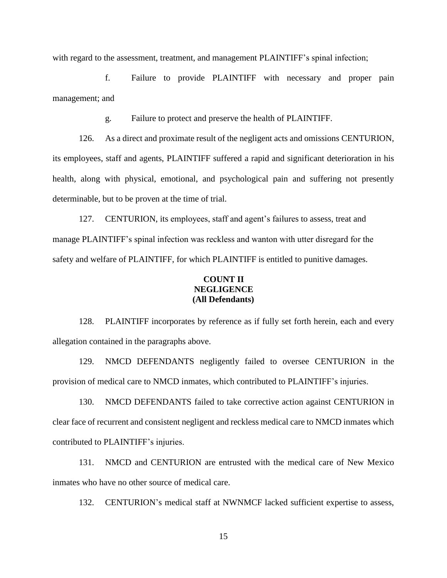with regard to the assessment, treatment, and management PLAINTIFF's spinal infection;

f. Failure to provide PLAINTIFF with necessary and proper pain management; and

g. Failure to protect and preserve the health of PLAINTIFF.

126. As a direct and proximate result of the negligent acts and omissions CENTURION, its employees, staff and agents, PLAINTIFF suffered a rapid and significant deterioration in his health, along with physical, emotional, and psychological pain and suffering not presently determinable, but to be proven at the time of trial.

127. CENTURION, its employees, staff and agent's failures to assess, treat and manage PLAINTIFF's spinal infection was reckless and wanton with utter disregard for the safety and welfare of PLAINTIFF, for which PLAINTIFF is entitled to punitive damages.

### **COUNT II NEGLIGENCE (All Defendants)**

128. PLAINTIFF incorporates by reference as if fully set forth herein, each and every allegation contained in the paragraphs above.

129. NMCD DEFENDANTS negligently failed to oversee CENTURION in the provision of medical care to NMCD inmates, which contributed to PLAINTIFF's injuries.

130. NMCD DEFENDANTS failed to take corrective action against CENTURION in clear face of recurrent and consistent negligent and reckless medical care to NMCD inmates which contributed to PLAINTIFF's injuries.

131. NMCD and CENTURION are entrusted with the medical care of New Mexico inmates who have no other source of medical care.

132. CENTURION's medical staff at NWNMCF lacked sufficient expertise to assess,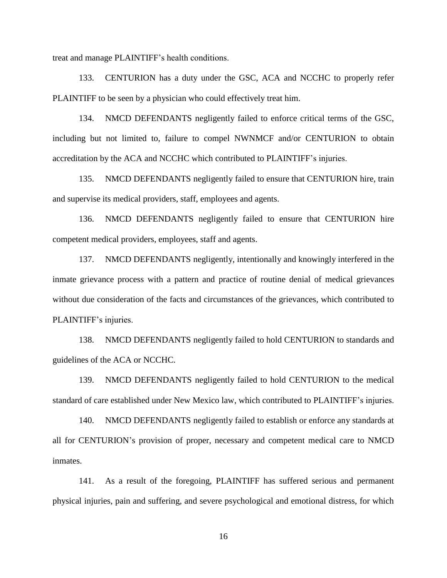treat and manage PLAINTIFF's health conditions.

133. CENTURION has a duty under the GSC, ACA and NCCHC to properly refer PLAINTIFF to be seen by a physician who could effectively treat him.

134. NMCD DEFENDANTS negligently failed to enforce critical terms of the GSC, including but not limited to, failure to compel NWNMCF and/or CENTURION to obtain accreditation by the ACA and NCCHC which contributed to PLAINTIFF's injuries.

135. NMCD DEFENDANTS negligently failed to ensure that CENTURION hire, train and supervise its medical providers, staff, employees and agents.

136. NMCD DEFENDANTS negligently failed to ensure that CENTURION hire competent medical providers, employees, staff and agents.

137. NMCD DEFENDANTS negligently, intentionally and knowingly interfered in the inmate grievance process with a pattern and practice of routine denial of medical grievances without due consideration of the facts and circumstances of the grievances, which contributed to PLAINTIFF's injuries.

138. NMCD DEFENDANTS negligently failed to hold CENTURION to standards and guidelines of the ACA or NCCHC.

139. NMCD DEFENDANTS negligently failed to hold CENTURION to the medical standard of care established under New Mexico law, which contributed to PLAINTIFF's injuries.

140. NMCD DEFENDANTS negligently failed to establish or enforce any standards at all for CENTURION's provision of proper, necessary and competent medical care to NMCD inmates.

141. As a result of the foregoing, PLAINTIFF has suffered serious and permanent physical injuries, pain and suffering, and severe psychological and emotional distress, for which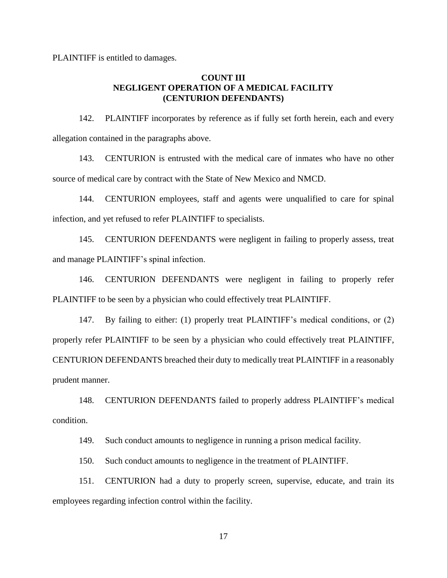PLAINTIFF is entitled to damages.

## **COUNT III NEGLIGENT OPERATION OF A MEDICAL FACILITY (CENTURION DEFENDANTS)**

142. PLAINTIFF incorporates by reference as if fully set forth herein, each and every allegation contained in the paragraphs above.

143. CENTURION is entrusted with the medical care of inmates who have no other source of medical care by contract with the State of New Mexico and NMCD.

144. CENTURION employees, staff and agents were unqualified to care for spinal infection, and yet refused to refer PLAINTIFF to specialists.

145. CENTURION DEFENDANTS were negligent in failing to properly assess, treat and manage PLAINTIFF's spinal infection.

146. CENTURION DEFENDANTS were negligent in failing to properly refer PLAINTIFF to be seen by a physician who could effectively treat PLAINTIFF.

147. By failing to either: (1) properly treat PLAINTIFF's medical conditions, or (2) properly refer PLAINTIFF to be seen by a physician who could effectively treat PLAINTIFF, CENTURION DEFENDANTS breached their duty to medically treat PLAINTIFF in a reasonably prudent manner.

148. CENTURION DEFENDANTS failed to properly address PLAINTIFF's medical condition.

149. Such conduct amounts to negligence in running a prison medical facility.

150. Such conduct amounts to negligence in the treatment of PLAINTIFF.

151. CENTURION had a duty to properly screen, supervise, educate, and train its employees regarding infection control within the facility.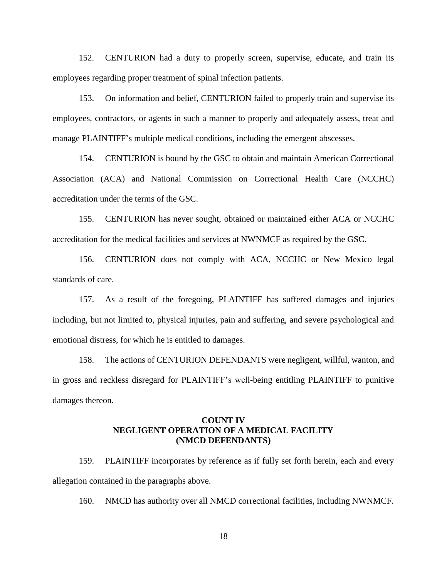152. CENTURION had a duty to properly screen, supervise, educate, and train its employees regarding proper treatment of spinal infection patients.

153. On information and belief, CENTURION failed to properly train and supervise its employees, contractors, or agents in such a manner to properly and adequately assess, treat and manage PLAINTIFF's multiple medical conditions, including the emergent abscesses.

154. CENTURION is bound by the GSC to obtain and maintain American Correctional Association (ACA) and National Commission on Correctional Health Care (NCCHC) accreditation under the terms of the GSC.

155. CENTURION has never sought, obtained or maintained either ACA or NCCHC accreditation for the medical facilities and services at NWNMCF as required by the GSC.

156. CENTURION does not comply with ACA, NCCHC or New Mexico legal standards of care.

157. As a result of the foregoing, PLAINTIFF has suffered damages and injuries including, but not limited to, physical injuries, pain and suffering, and severe psychological and emotional distress, for which he is entitled to damages.

158. The actions of CENTURION DEFENDANTS were negligent, willful, wanton, and in gross and reckless disregard for PLAINTIFF's well-being entitling PLAINTIFF to punitive damages thereon.

## **COUNT IV NEGLIGENT OPERATION OF A MEDICAL FACILITY (NMCD DEFENDANTS)**

159. PLAINTIFF incorporates by reference as if fully set forth herein, each and every allegation contained in the paragraphs above.

160. NMCD has authority over all NMCD correctional facilities, including NWNMCF.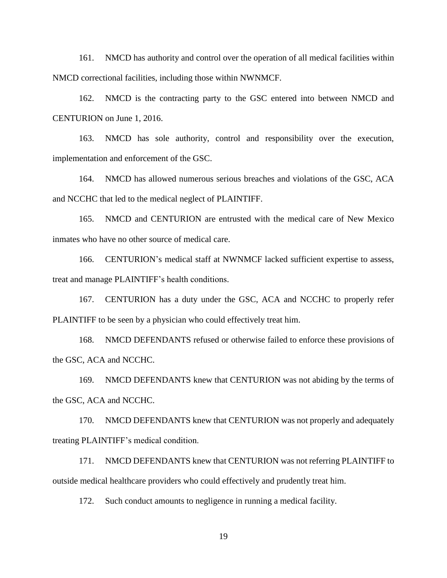161. NMCD has authority and control over the operation of all medical facilities within NMCD correctional facilities, including those within NWNMCF.

162. NMCD is the contracting party to the GSC entered into between NMCD and CENTURION on June 1, 2016.

163. NMCD has sole authority, control and responsibility over the execution, implementation and enforcement of the GSC.

164. NMCD has allowed numerous serious breaches and violations of the GSC, ACA and NCCHC that led to the medical neglect of PLAINTIFF.

165. NMCD and CENTURION are entrusted with the medical care of New Mexico inmates who have no other source of medical care.

166. CENTURION's medical staff at NWNMCF lacked sufficient expertise to assess, treat and manage PLAINTIFF's health conditions.

167. CENTURION has a duty under the GSC, ACA and NCCHC to properly refer PLAINTIFF to be seen by a physician who could effectively treat him.

168. NMCD DEFENDANTS refused or otherwise failed to enforce these provisions of the GSC, ACA and NCCHC.

169. NMCD DEFENDANTS knew that CENTURION was not abiding by the terms of the GSC, ACA and NCCHC.

170. NMCD DEFENDANTS knew that CENTURION was not properly and adequately treating PLAINTIFF's medical condition.

171. NMCD DEFENDANTS knew that CENTURION was not referring PLAINTIFF to outside medical healthcare providers who could effectively and prudently treat him.

172. Such conduct amounts to negligence in running a medical facility.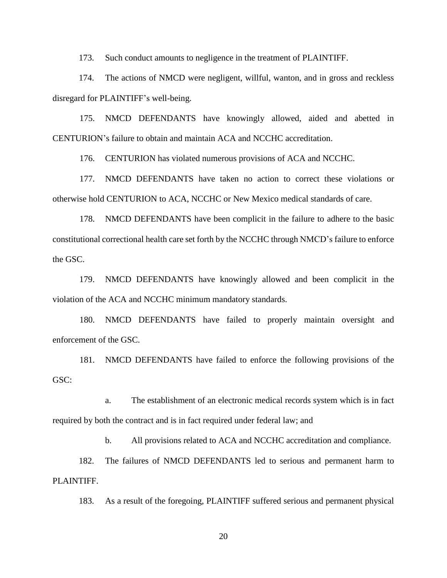173. Such conduct amounts to negligence in the treatment of PLAINTIFF.

174. The actions of NMCD were negligent, willful, wanton, and in gross and reckless disregard for PLAINTIFF's well-being.

175. NMCD DEFENDANTS have knowingly allowed, aided and abetted in CENTURION's failure to obtain and maintain ACA and NCCHC accreditation.

176. CENTURION has violated numerous provisions of ACA and NCCHC.

177. NMCD DEFENDANTS have taken no action to correct these violations or otherwise hold CENTURION to ACA, NCCHC or New Mexico medical standards of care.

178. NMCD DEFENDANTS have been complicit in the failure to adhere to the basic constitutional correctional health care set forth by the NCCHC through NMCD's failure to enforce the GSC.

179. NMCD DEFENDANTS have knowingly allowed and been complicit in the violation of the ACA and NCCHC minimum mandatory standards.

180. NMCD DEFENDANTS have failed to properly maintain oversight and enforcement of the GSC.

181. NMCD DEFENDANTS have failed to enforce the following provisions of the GSC:

a. The establishment of an electronic medical records system which is in fact required by both the contract and is in fact required under federal law; and

b. All provisions related to ACA and NCCHC accreditation and compliance.

182. The failures of NMCD DEFENDANTS led to serious and permanent harm to PLAINTIFF.

183. As a result of the foregoing, PLAINTIFF suffered serious and permanent physical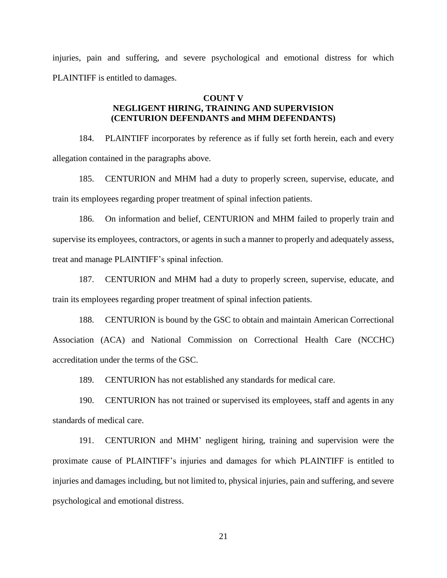injuries, pain and suffering, and severe psychological and emotional distress for which PLAINTIFF is entitled to damages.

#### **COUNT V**

# **NEGLIGENT HIRING, TRAINING AND SUPERVISION (CENTURION DEFENDANTS and MHM DEFENDANTS)**

184. PLAINTIFF incorporates by reference as if fully set forth herein, each and every allegation contained in the paragraphs above.

185. CENTURION and MHM had a duty to properly screen, supervise, educate, and train its employees regarding proper treatment of spinal infection patients.

186. On information and belief, CENTURION and MHM failed to properly train and supervise its employees, contractors, or agents in such a manner to properly and adequately assess, treat and manage PLAINTIFF's spinal infection.

187. CENTURION and MHM had a duty to properly screen, supervise, educate, and train its employees regarding proper treatment of spinal infection patients.

188. CENTURION is bound by the GSC to obtain and maintain American Correctional Association (ACA) and National Commission on Correctional Health Care (NCCHC) accreditation under the terms of the GSC.

189. CENTURION has not established any standards for medical care.

190. CENTURION has not trained or supervised its employees, staff and agents in any standards of medical care.

191. CENTURION and MHM' negligent hiring, training and supervision were the proximate cause of PLAINTIFF's injuries and damages for which PLAINTIFF is entitled to injuries and damages including, but not limited to, physical injuries, pain and suffering, and severe psychological and emotional distress.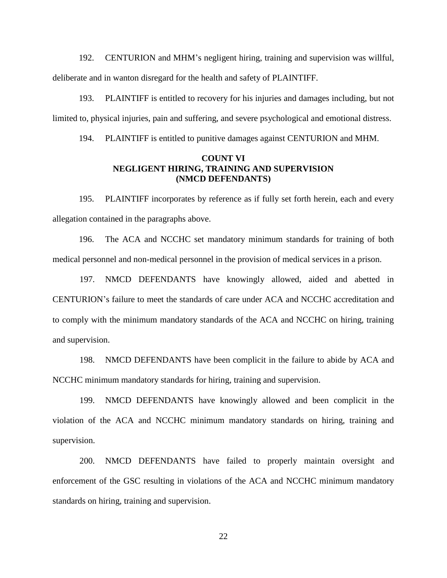192. CENTURION and MHM's negligent hiring, training and supervision was willful, deliberate and in wanton disregard for the health and safety of PLAINTIFF.

193. PLAINTIFF is entitled to recovery for his injuries and damages including, but not limited to, physical injuries, pain and suffering, and severe psychological and emotional distress.

194. PLAINTIFF is entitled to punitive damages against CENTURION and MHM.

### **COUNT VI NEGLIGENT HIRING, TRAINING AND SUPERVISION (NMCD DEFENDANTS)**

195. PLAINTIFF incorporates by reference as if fully set forth herein, each and every allegation contained in the paragraphs above.

196. The ACA and NCCHC set mandatory minimum standards for training of both medical personnel and non-medical personnel in the provision of medical services in a prison.

197. NMCD DEFENDANTS have knowingly allowed, aided and abetted in CENTURION's failure to meet the standards of care under ACA and NCCHC accreditation and to comply with the minimum mandatory standards of the ACA and NCCHC on hiring, training and supervision.

198. NMCD DEFENDANTS have been complicit in the failure to abide by ACA and NCCHC minimum mandatory standards for hiring, training and supervision.

199. NMCD DEFENDANTS have knowingly allowed and been complicit in the violation of the ACA and NCCHC minimum mandatory standards on hiring, training and supervision.

200. NMCD DEFENDANTS have failed to properly maintain oversight and enforcement of the GSC resulting in violations of the ACA and NCCHC minimum mandatory standards on hiring, training and supervision.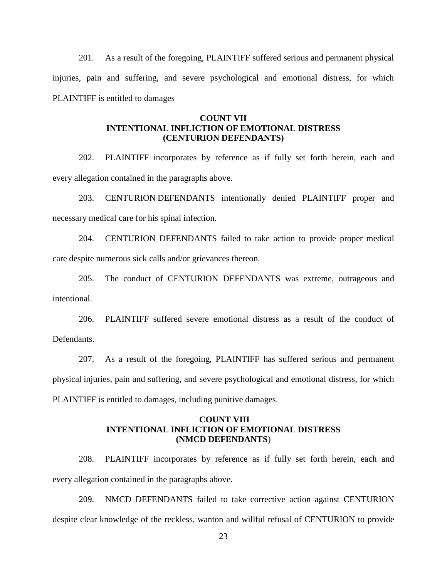201. As a result of the foregoing, PLAINTIFF suffered serious and permanent physical injuries, pain and suffering, and severe psychological and emotional distress, for which PLAINTIFF is entitled to damages

### **COUNT VII INTENTIONAL INFLICTION OF EMOTIONAL DISTRESS (CENTURION DEFENDANTS)**

202. PLAINTIFF incorporates by reference as if fully set forth herein, each and every allegation contained in the paragraphs above.

203. CENTURION DEFENDANTS intentionally denied PLAINTIFF proper and necessary medical care for his spinal infection.

204. CENTURION DEFENDANTS failed to take action to provide proper medical care despite numerous sick calls and/or grievances thereon.

205. The conduct of CENTURION DEFENDANTS was extreme, outrageous and intentional.

206. PLAINTIFF suffered severe emotional distress as a result of the conduct of Defendants.

207. As a result of the foregoing, PLAINTIFF has suffered serious and permanent physical injuries, pain and suffering, and severe psychological and emotional distress, for which PLAINTIFF is entitled to damages, including punitive damages.

### **COUNT VIII INTENTIONAL INFLICTION OF EMOTIONAL DISTRESS (NMCD DEFENDANTS**)

208. PLAINTIFF incorporates by reference as if fully set forth herein, each and every allegation contained in the paragraphs above.

209. NMCD DEFENDANTS failed to take corrective action against CENTURION despite clear knowledge of the reckless, wanton and willful refusal of CENTURION to provide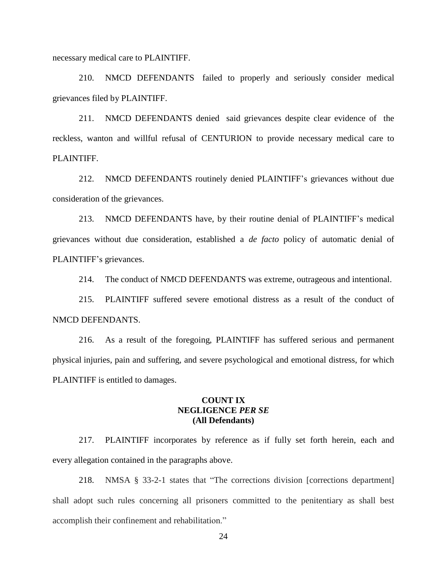necessary medical care to PLAINTIFF.

210. NMCD DEFENDANTS failed to properly and seriously consider medical grievances filed by PLAINTIFF.

211. NMCD DEFENDANTS denied said grievances despite clear evidence of the reckless, wanton and willful refusal of CENTURION to provide necessary medical care to PLAINTIFF.

212. NMCD DEFENDANTS routinely denied PLAINTIFF's grievances without due consideration of the grievances.

213. NMCD DEFENDANTS have, by their routine denial of PLAINTIFF's medical grievances without due consideration, established a *de facto* policy of automatic denial of PLAINTIFF's grievances.

214. The conduct of NMCD DEFENDANTS was extreme, outrageous and intentional.

215. PLAINTIFF suffered severe emotional distress as a result of the conduct of NMCD DEFENDANTS.

216. As a result of the foregoing, PLAINTIFF has suffered serious and permanent physical injuries, pain and suffering, and severe psychological and emotional distress, for which PLAINTIFF is entitled to damages.

### **COUNT IX NEGLIGENCE** *PER SE* **(All Defendants)**

217. PLAINTIFF incorporates by reference as if fully set forth herein, each and every allegation contained in the paragraphs above.

218. NMSA § 33-2-1 states that "The corrections division [corrections department] shall adopt such rules concerning all prisoners committed to the penitentiary as shall best accomplish their confinement and rehabilitation."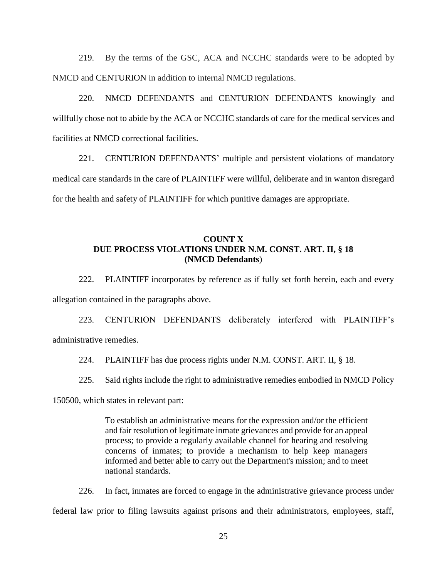219. By the terms of the GSC, ACA and NCCHC standards were to be adopted by NMCD and CENTURION in addition to internal NMCD regulations.

220. NMCD DEFENDANTS and CENTURION DEFENDANTS knowingly and willfully chose not to abide by the ACA or NCCHC standards of care for the medical services and facilities at NMCD correctional facilities.

221. CENTURION DEFENDANTS' multiple and persistent violations of mandatory medical care standards in the care of PLAINTIFF were willful, deliberate and in wanton disregard for the health and safety of PLAINTIFF for which punitive damages are appropriate.

## **COUNT X DUE PROCESS VIOLATIONS UNDER N.M. CONST. ART. II, § 18 (NMCD Defendants**)

222. PLAINTIFF incorporates by reference as if fully set forth herein, each and every allegation contained in the paragraphs above.

223. CENTURION DEFENDANTS deliberately interfered with PLAINTIFF's administrative remedies.

224. PLAINTIFF has due process rights under N.M. CONST. ART. II, § 18.

225. Said rights include the right to administrative remedies embodied in NMCD Policy

150500, which states in relevant part:

To establish an administrative means for the expression and/or the efficient and fair resolution of legitimate inmate grievances and provide for an appeal process; to provide a regularly available channel for hearing and resolving concerns of inmates; to provide a mechanism to help keep managers informed and better able to carry out the Department's mission; and to meet national standards.

226. In fact, inmates are forced to engage in the administrative grievance process under federal law prior to filing lawsuits against prisons and their administrators, employees, staff,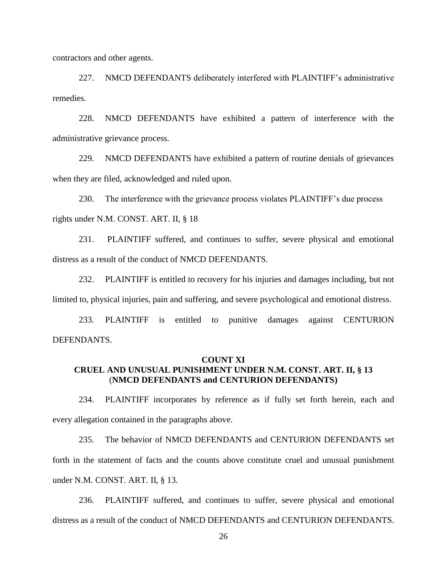contractors and other agents.

227. NMCD DEFENDANTS deliberately interfered with PLAINTIFF's administrative remedies.

228. NMCD DEFENDANTS have exhibited a pattern of interference with the administrative grievance process.

229. NMCD DEFENDANTS have exhibited a pattern of routine denials of grievances when they are filed, acknowledged and ruled upon.

230. The interference with the grievance process violates PLAINTIFF's due process rights under N.M. CONST. ART. II, § 18

231. PLAINTIFF suffered, and continues to suffer, severe physical and emotional distress as a result of the conduct of NMCD DEFENDANTS.

232. PLAINTIFF is entitled to recovery for his injuries and damages including, but not limited to, physical injuries, pain and suffering, and severe psychological and emotional distress.

233. PLAINTIFF is entitled to punitive damages against CENTURION DEFENDANTS.

### **COUNT XI CRUEL AND UNUSUAL PUNISHMENT UNDER N.M. CONST. ART. II, § 13** (**NMCD DEFENDANTS and CENTURION DEFENDANTS)**

234. PLAINTIFF incorporates by reference as if fully set forth herein, each and every allegation contained in the paragraphs above.

235. The behavior of NMCD DEFENDANTS and CENTURION DEFENDANTS set forth in the statement of facts and the counts above constitute cruel and unusual punishment under N.M. CONST. ART. II, § 13.

236. PLAINTIFF suffered, and continues to suffer, severe physical and emotional distress as a result of the conduct of NMCD DEFENDANTS and CENTURION DEFENDANTS.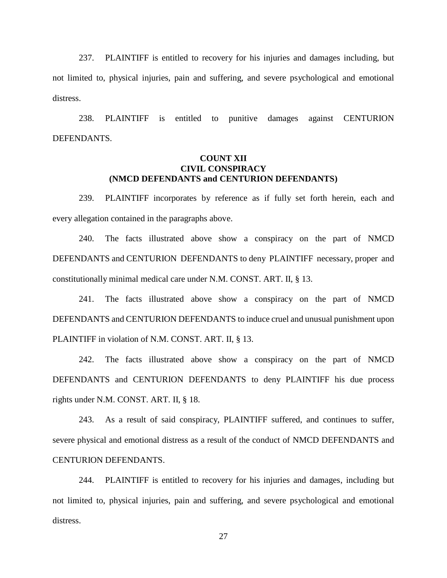237. PLAINTIFF is entitled to recovery for his injuries and damages including, but not limited to, physical injuries, pain and suffering, and severe psychological and emotional distress.

238. PLAINTIFF is entitled to punitive damages against CENTURION DEFENDANTS.

## **COUNT XII CIVIL CONSPIRACY (NMCD DEFENDANTS and CENTURION DEFENDANTS)**

239. PLAINTIFF incorporates by reference as if fully set forth herein, each and every allegation contained in the paragraphs above.

240. The facts illustrated above show a conspiracy on the part of NMCD DEFENDANTS and CENTURION DEFENDANTS to deny PLAINTIFF necessary, proper and constitutionally minimal medical care under N.M. CONST. ART. II, § 13.

241. The facts illustrated above show a conspiracy on the part of NMCD DEFENDANTS and CENTURION DEFENDANTS to induce cruel and unusual punishment upon PLAINTIFF in violation of N.M. CONST. ART. II, § 13.

242. The facts illustrated above show a conspiracy on the part of NMCD DEFENDANTS and CENTURION DEFENDANTS to deny PLAINTIFF his due process rights under N.M. CONST. ART. II, § 18.

243. As a result of said conspiracy, PLAINTIFF suffered, and continues to suffer, severe physical and emotional distress as a result of the conduct of NMCD DEFENDANTS and CENTURION DEFENDANTS.

244. PLAINTIFF is entitled to recovery for his injuries and damages, including but not limited to, physical injuries, pain and suffering, and severe psychological and emotional distress.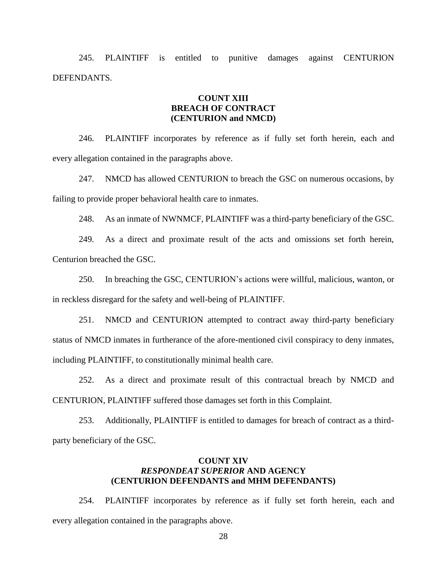245. PLAINTIFF is entitled to punitive damages against CENTURION DEFENDANTS.

### **COUNT XIII BREACH OF CONTRACT (CENTURION and NMCD)**

246. PLAINTIFF incorporates by reference as if fully set forth herein, each and every allegation contained in the paragraphs above.

247. NMCD has allowed CENTURION to breach the GSC on numerous occasions, by failing to provide proper behavioral health care to inmates.

248. As an inmate of NWNMCF, PLAINTIFF was a third-party beneficiary of the GSC.

249. As a direct and proximate result of the acts and omissions set forth herein, Centurion breached the GSC.

250. In breaching the GSC, CENTURION's actions were willful, malicious, wanton, or in reckless disregard for the safety and well-being of PLAINTIFF.

251. NMCD and CENTURION attempted to contract away third-party beneficiary status of NMCD inmates in furtherance of the afore-mentioned civil conspiracy to deny inmates, including PLAINTIFF, to constitutionally minimal health care.

252. As a direct and proximate result of this contractual breach by NMCD and CENTURION, PLAINTIFF suffered those damages set forth in this Complaint.

253. Additionally, PLAINTIFF is entitled to damages for breach of contract as a thirdparty beneficiary of the GSC.

## **COUNT XIV** *RESPONDEAT SUPERIOR* **AND AGENCY (CENTURION DEFENDANTS and MHM DEFENDANTS)**

254. PLAINTIFF incorporates by reference as if fully set forth herein, each and every allegation contained in the paragraphs above.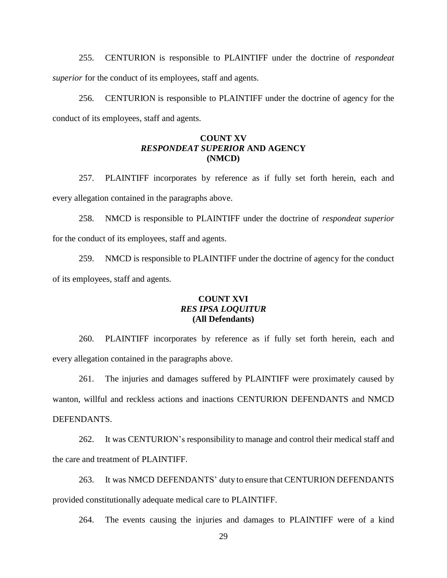255. CENTURION is responsible to PLAINTIFF under the doctrine of *respondeat superior* for the conduct of its employees, staff and agents.

256. CENTURION is responsible to PLAINTIFF under the doctrine of agency for the conduct of its employees, staff and agents.

## **COUNT XV** *RESPONDEAT SUPERIOR* **AND AGENCY (NMCD)**

257. PLAINTIFF incorporates by reference as if fully set forth herein, each and every allegation contained in the paragraphs above.

258. NMCD is responsible to PLAINTIFF under the doctrine of *respondeat superior* for the conduct of its employees, staff and agents.

259. NMCD is responsible to PLAINTIFF under the doctrine of agency for the conduct of its employees, staff and agents.

# **COUNT XVI** *RES IPSA LOQUITUR* **(All Defendants)**

260. PLAINTIFF incorporates by reference as if fully set forth herein, each and every allegation contained in the paragraphs above.

261. The injuries and damages suffered by PLAINTIFF were proximately caused by wanton, willful and reckless actions and inactions CENTURION DEFENDANTS and NMCD DEFENDANTS.

262. It was CENTURION's responsibility to manage and control their medical staff and the care and treatment of PLAINTIFF.

263. It was NMCD DEFENDANTS' duty to ensure that CENTURION DEFENDANTS provided constitutionally adequate medical care to PLAINTIFF.

264. The events causing the injuries and damages to PLAINTIFF were of a kind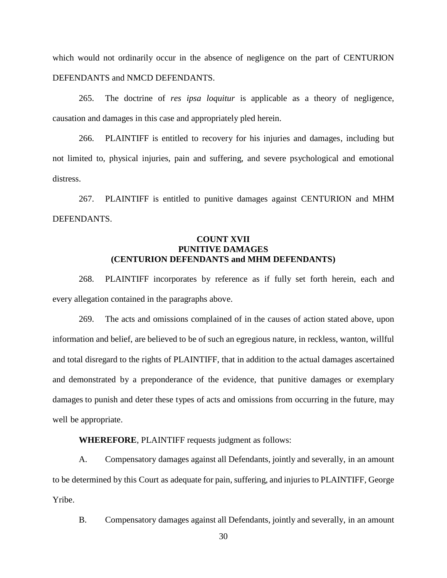which would not ordinarily occur in the absence of negligence on the part of CENTURION DEFENDANTS and NMCD DEFENDANTS.

265. The doctrine of *res ipsa loquitur* is applicable as a theory of negligence, causation and damages in this case and appropriately pled herein.

266. PLAINTIFF is entitled to recovery for his injuries and damages, including but not limited to, physical injuries, pain and suffering, and severe psychological and emotional distress.

267. PLAINTIFF is entitled to punitive damages against CENTURION and MHM DEFENDANTS.

## **COUNT XVII PUNITIVE DAMAGES (CENTURION DEFENDANTS and MHM DEFENDANTS)**

268. PLAINTIFF incorporates by reference as if fully set forth herein, each and every allegation contained in the paragraphs above.

269. The acts and omissions complained of in the causes of action stated above, upon information and belief, are believed to be of such an egregious nature, in reckless, wanton, willful and total disregard to the rights of PLAINTIFF, that in addition to the actual damages ascertained and demonstrated by a preponderance of the evidence, that punitive damages or exemplary damages to punish and deter these types of acts and omissions from occurring in the future, may well be appropriate.

**WHEREFORE**, PLAINTIFF requests judgment as follows:

A. Compensatory damages against all Defendants, jointly and severally, in an amount to be determined by this Court as adequate for pain, suffering, and injuries to PLAINTIFF, George Yribe.

B. Compensatory damages against all Defendants, jointly and severally, in an amount